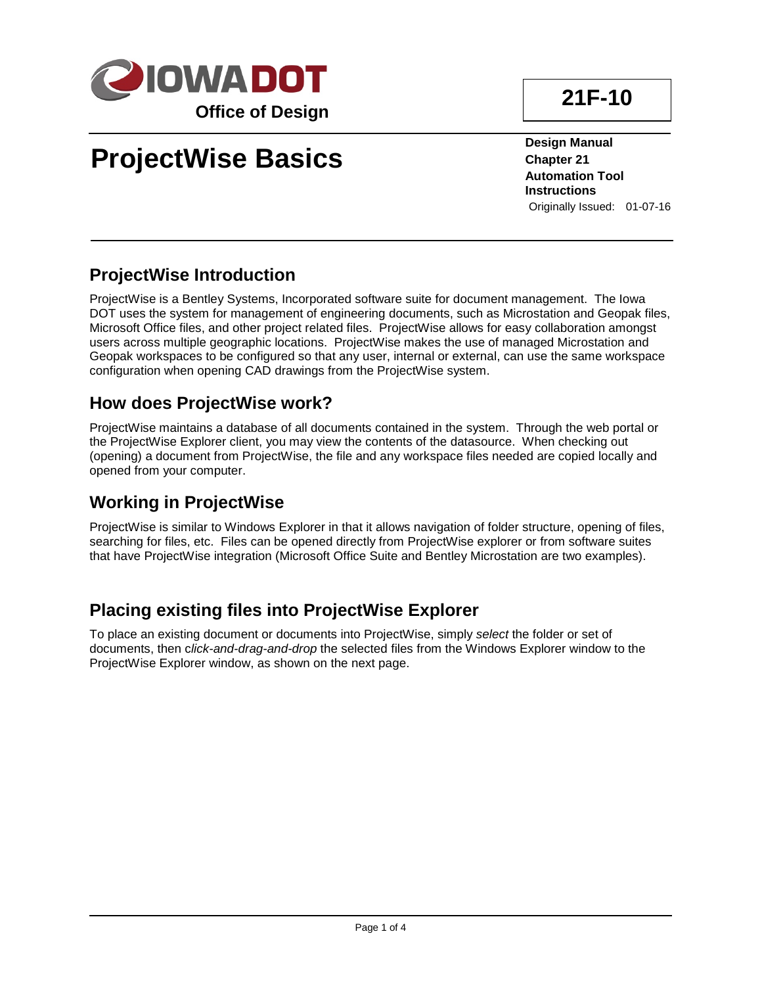

# **ProjectWise Basics**

**21F-10**

**Design Manual Chapter 21 Automation Tool Instructions** Originally Issued: 01-07-16

#### **ProjectWise Introduction**

ProjectWise is a Bentley Systems, Incorporated software suite for document management. The Iowa DOT uses the system for management of engineering documents, such as Microstation and Geopak files, Microsoft Office files, and other project related files. ProjectWise allows for easy collaboration amongst users across multiple geographic locations. ProjectWise makes the use of managed Microstation and Geopak workspaces to be configured so that any user, internal or external, can use the same workspace configuration when opening CAD drawings from the ProjectWise system.

#### **How does ProjectWise work?**

ProjectWise maintains a database of all documents contained in the system. Through the web portal or the ProjectWise Explorer client, you may view the contents of the datasource. When checking out (opening) a document from ProjectWise, the file and any workspace files needed are copied locally and opened from your computer.

#### **Working in ProjectWise**

ProjectWise is similar to Windows Explorer in that it allows navigation of folder structure, opening of files, searching for files, etc. Files can be opened directly from ProjectWise explorer or from software suites that have ProjectWise integration (Microsoft Office Suite and Bentley Microstation are two examples).

### **Placing existing files into ProjectWise Explorer**

To place an existing document or documents into ProjectWise, simply *select* the folder or set of documents, then c*lick-and-drag-and-drop* the selected files from the Windows Explorer window to the ProjectWise Explorer window, as shown on the next page.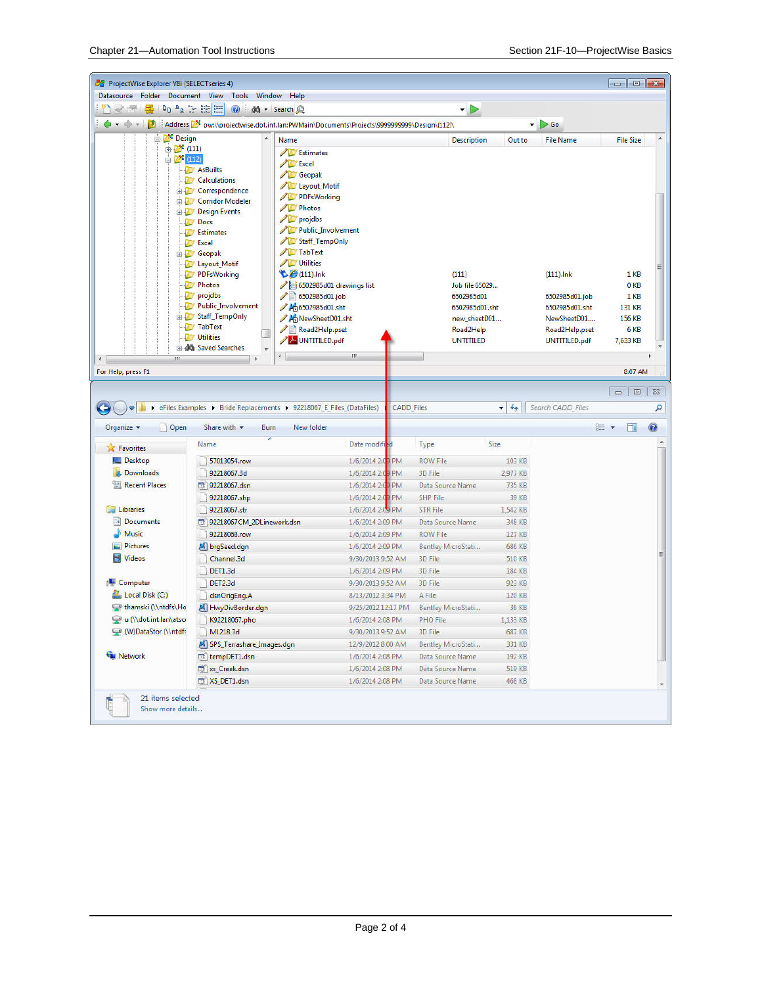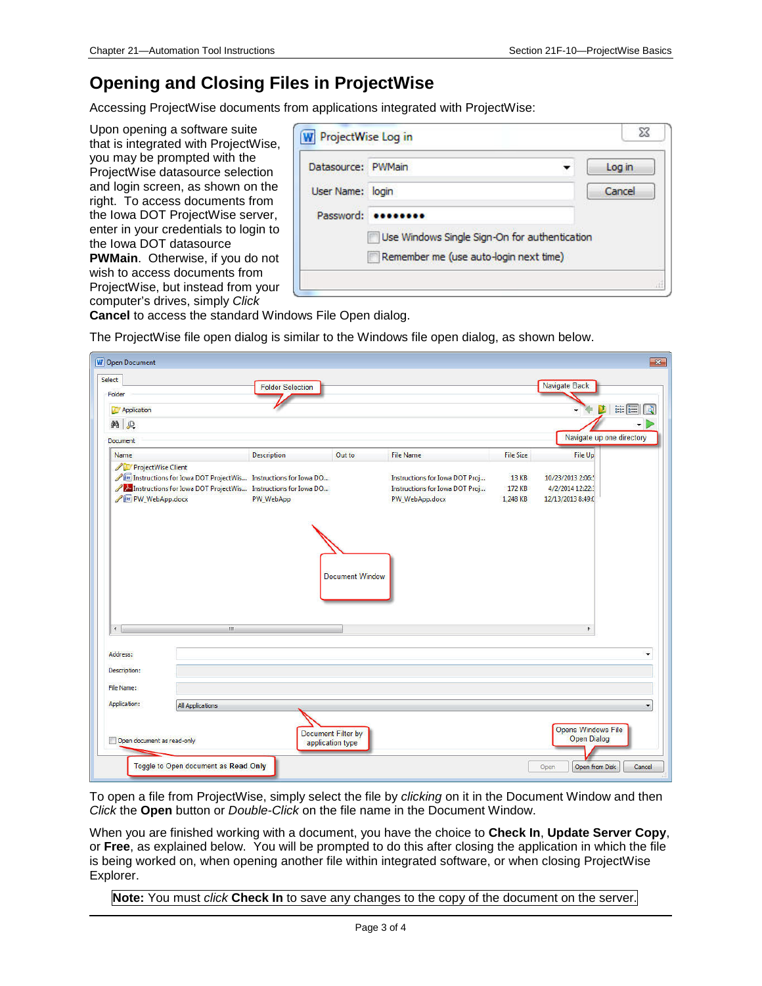#### **Opening and Closing Files in ProjectWise**

Accessing ProjectWise documents from applications integrated with ProjectWise:

Upon opening a software suite that is integrated with ProjectWise, you may be prompted with the ProjectWise datasource selection and login screen, as shown on the right. To access documents from the Iowa DOT ProjectWise server, enter in your credentials to login to the Iowa DOT datasource **PWMain**. Otherwise, if you do not wish to access documents from ProjectWise, but instead from your

| Datasource: PWMain |                                               | Log in |  |  |  |
|--------------------|-----------------------------------------------|--------|--|--|--|
| User Name: login   |                                               | Cancel |  |  |  |
| Password:          |                                               |        |  |  |  |
|                    | Use Windows Single Sign-On for authentication |        |  |  |  |
|                    | Remember me (use auto-login next time)        |        |  |  |  |

computer's drives, simply *Click* **Cancel** to access the standard Windows File Open dialog.

The ProjectWise file open dialog is similar to the Windows file open dialog, as shown below.

| <b>W</b> Open Document<br>Select<br>Folder<br>Application |                                                                                                                                     | <b>Folder Selection</b> |                                        |                                                                                    |                             | Navigate Back<br>D                                       | $\mathbb{R}$<br>$\begin{bmatrix} 0 & 0 \\ 0 & 0 \\ 0 & 0 \end{bmatrix} \begin{bmatrix} 0 & 0 \\ 0 & 0 \\ 0 & 0 \end{bmatrix}$ |
|-----------------------------------------------------------|-------------------------------------------------------------------------------------------------------------------------------------|-------------------------|----------------------------------------|------------------------------------------------------------------------------------|-----------------------------|----------------------------------------------------------|-------------------------------------------------------------------------------------------------------------------------------|
| <b>纳 见</b>                                                |                                                                                                                                     |                         |                                        |                                                                                    |                             |                                                          |                                                                                                                               |
| <b>Document</b>                                           |                                                                                                                                     |                         |                                        |                                                                                    |                             | Navigate up one directory                                |                                                                                                                               |
| Name                                                      |                                                                                                                                     | <b>Description</b>      | Out to                                 | <b>File Name</b>                                                                   | <b>File Size</b>            | File Up                                                  |                                                                                                                               |
| ProjectWise Client<br>/ W PW WebApp.docx                  | Iw Instructions for Iowa DOT ProjectWis Instructions for Iowa DO<br>A Instructions for Iowa DOT ProjectWis Instructions for Iowa DO | PW_WebApp               | <b>Document Window</b>                 | Instructions for Iowa DOT Proj<br>Instructions for Iowa DOT Proj<br>PW_WebApp.docx | 13 KB<br>172 KB<br>1,248 KB | 10/23/2013 2:06:<br>4/2/2014 12:22:<br>12/13/2013 8:49:0 |                                                                                                                               |
| $\leftarrow$                                              | III                                                                                                                                 |                         |                                        |                                                                                    |                             | k.                                                       |                                                                                                                               |
| Address:                                                  |                                                                                                                                     |                         |                                        |                                                                                    |                             |                                                          | ۰                                                                                                                             |
| Description:                                              |                                                                                                                                     |                         |                                        |                                                                                    |                             |                                                          |                                                                                                                               |
| File Name:                                                |                                                                                                                                     |                         |                                        |                                                                                    |                             |                                                          |                                                                                                                               |
| Application:                                              | <b>All Applications</b>                                                                                                             |                         |                                        |                                                                                    |                             |                                                          | $\overline{\phantom{a}}$                                                                                                      |
| Open document as read-only                                |                                                                                                                                     |                         | Document Filter by<br>application type |                                                                                    |                             | <b>Opens Windows File</b><br><b>Open Dialog</b>          |                                                                                                                               |
|                                                           | Toggle to Open document as Read Only                                                                                                |                         |                                        |                                                                                    |                             |                                                          |                                                                                                                               |

To open a file from ProjectWise, simply select the file by *clicking* on it in the Document Window and then *Click* the **Open** button or *Double-Click* on the file name in the Document Window.

When you are finished working with a document, you have the choice to **Check In**, **Update Server Copy**, or **Free**, as explained below. You will be prompted to do this after closing the application in which the file is being worked on, when opening another file within integrated software, or when closing ProjectWise Explorer.

**Note:** You must *click* **Check In** to save any changes to the copy of the document on the server.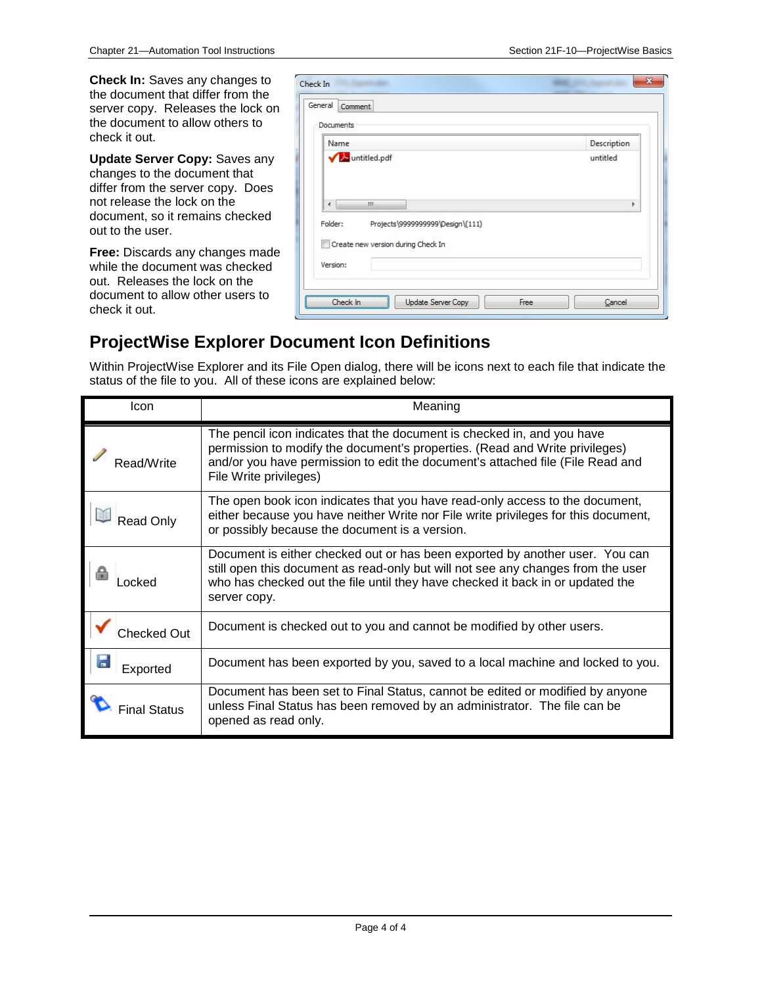**Check In:** Saves any changes to the document that differ from the server copy. Releases the lock on the document to allow others to check it out.

**Update Server Copy:** Saves any changes to the document that differ from the server copy. Does not release the lock on the document, so it remains checked out to the user.

**Free:** Discards any changes made while the document was checked out. Releases the lock on the document to allow other users to check it out.

| Documents                                                                         |             |
|-----------------------------------------------------------------------------------|-------------|
| Name                                                                              | Description |
| Muntitled.pdf                                                                     | untitled    |
| m.<br>∢                                                                           | Þ           |
| Folder:<br>Projects\9999999999\Design\(111)<br>Create new version during Check In |             |
|                                                                                   |             |

#### **ProjectWise Explorer Document Icon Definitions**

Within ProjectWise Explorer and its File Open dialog, there will be icons next to each file that indicate the status of the file to you. All of these icons are explained below:

| Icon         | Meaning                                                                                                                                                                                                                                                            |
|--------------|--------------------------------------------------------------------------------------------------------------------------------------------------------------------------------------------------------------------------------------------------------------------|
| Read/Write   | The pencil icon indicates that the document is checked in, and you have<br>permission to modify the document's properties. (Read and Write privileges)<br>and/or you have permission to edit the document's attached file (File Read and<br>File Write privileges) |
| Read Only    | The open book icon indicates that you have read-only access to the document,<br>either because you have neither Write nor File write privileges for this document,<br>or possibly because the document is a version.                                               |
| ncked        | Document is either checked out or has been exported by another user. You can<br>still open this document as read-only but will not see any changes from the user<br>who has checked out the file until they have checked it back in or updated the<br>server copy. |
| Checked Out  | Document is checked out to you and cannot be modified by other users.                                                                                                                                                                                              |
| Exported     | Document has been exported by you, saved to a local machine and locked to you.                                                                                                                                                                                     |
| Final Status | Document has been set to Final Status, cannot be edited or modified by anyone<br>unless Final Status has been removed by an administrator. The file can be<br>opened as read only.                                                                                 |